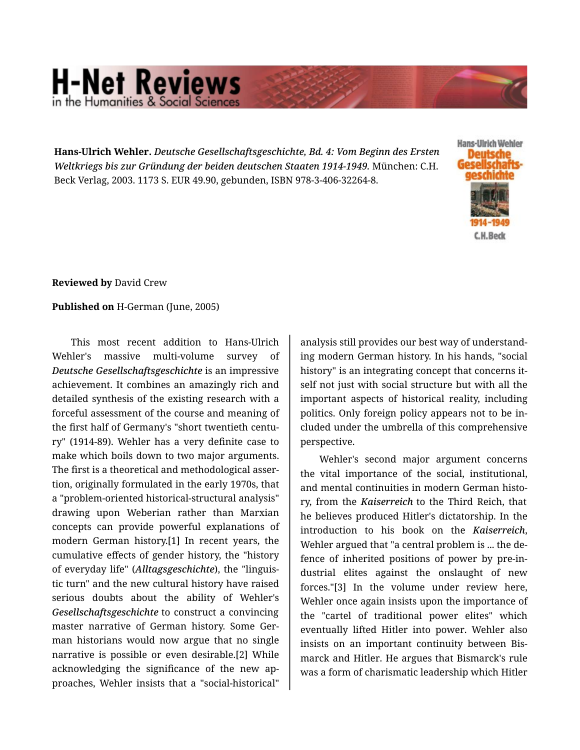## **H-Net Reviews** in the Humanities & Social Scier

**Hans-Ulrich Wehler.** *Deutsche Gesellschaftsgeschichte, Bd. 4: Vom Beginn des Ersten Weltkriegs bis zur Gründung der beiden deutschen Staaten 1914-1949.* München: C.H. Beck Verlag, 2003. 1173 S. EUR 49.90, gebunden, ISBN 978-3-406-32264-8.



## **Reviewed by** David Crew

## **Published on** H-German (June, 2005)

This most recent addition to Hans-Ulrich Wehler's massive multi-volume survey of *Deutsche Gesellschaftsgeschichte* is an impressive achievement. It combines an amazingly rich and detailed synthesis of the existing research with a forceful assessment of the course and meaning of the first half of Germany's "short twentieth centu‐ ry" (1914-89). Wehler has a very definite case to make which boils down to two major arguments. The first is a theoretical and methodological asser‐ tion, originally formulated in the early 1970s, that a "problem-oriented historical-structural analysis" drawing upon Weberian rather than Marxian concepts can provide powerful explanations of modern German history.[1] In recent years, the cumulative effects of gender history, the "history of everyday life" (*Alltagsgeschichte*), the "linguis‐ tic turn" and the new cultural history have raised serious doubts about the ability of Wehler's *Gesellschaftsgeschichte* to construct a convincing master narrative of German history. Some Ger‐ man historians would now argue that no single narrative is possible or even desirable.[2] While acknowledging the significance of the new ap‐ proaches, Wehler insists that a "social-historical"

analysis still provides our best way of understand‐ ing modern German history. In his hands, "social history" is an integrating concept that concerns it‐ self not just with social structure but with all the important aspects of historical reality, including politics. Only foreign policy appears not to be in‐ cluded under the umbrella of this comprehensive perspective.

Wehler's second major argument concerns the vital importance of the social, institutional, and mental continuities in modern German histo‐ ry, from the *Kaiserreich* to the Third Reich, that he believes produced Hitler's dictatorship. In the introduction to his book on the *Kaiserreich*, Wehler argued that "a central problem is ... the de‐ fence of inherited positions of power by pre-in‐ dustrial elites against the onslaught of new forces."[3] In the volume under review here, Wehler once again insists upon the importance of the "cartel of traditional power elites" which eventually lifted Hitler into power. Wehler also insists on an important continuity between Bis‐ marck and Hitler. He argues that Bismarck's rule was a form of charismatic leadership which Hitler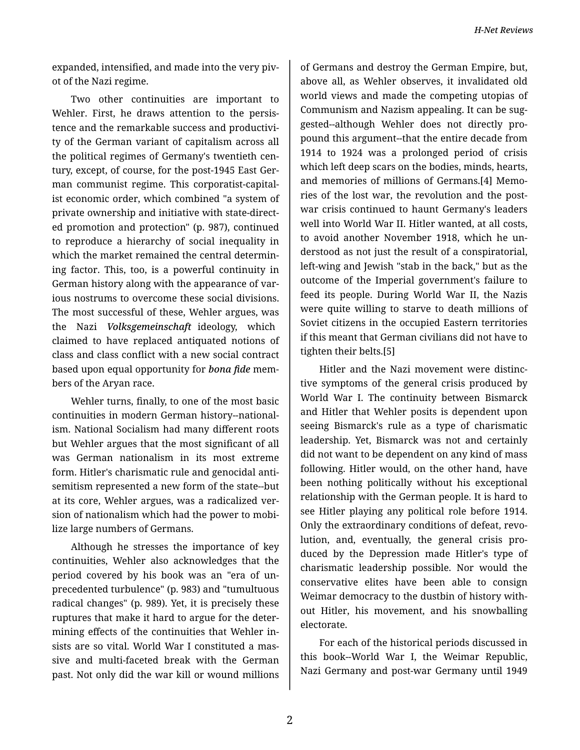*H-Net Reviews*

expanded, intensified, and made into the very piv‐ ot of the Nazi regime.

Two other continuities are important to Wehler. First, he draws attention to the persistence and the remarkable success and productivi‐ ty of the German variant of capitalism across all the political regimes of Germany's twentieth cen‐ tury, except, of course, for the post-1945 East Ger‐ man communist regime. This corporatist-capital‐ ist economic order, which combined "a system of private ownership and initiative with state-direct‐ ed promotion and protection" (p. 987), continued to reproduce a hierarchy of social inequality in which the market remained the central determin‐ ing factor. This, too, is a powerful continuity in German history along with the appearance of var‐ ious nostrums to overcome these social divisions. The most successful of these, Wehler argues, was the Nazi *Volksgemeinschaft* ideology, which claimed to have replaced antiquated notions of class and class conflict with a new social contract based upon equal opportunity for *bona fide* mem‐ bers of the Aryan race.

Wehler turns, finally, to one of the most basic continuities in modern German history--national‐ ism. National Socialism had many different roots but Wehler argues that the most significant of all was German nationalism in its most extreme form. Hitler's charismatic rule and genocidal anti‐ semitism represented a new form of the state--but at its core, Wehler argues, was a radicalized ver‐ sion of nationalism which had the power to mobi‐ lize large numbers of Germans.

Although he stresses the importance of key continuities, Wehler also acknowledges that the period covered by his book was an "era of un‐ precedented turbulence" (p. 983) and "tumultuous radical changes" (p. 989). Yet, it is precisely these ruptures that make it hard to argue for the deter‐ mining effects of the continuities that Wehler in‐ sists are so vital. World War I constituted a mas‐ sive and multi-faceted break with the German past. Not only did the war kill or wound millions

of Germans and destroy the German Empire, but, above all, as Wehler observes, it invalidated old world views and made the competing utopias of Communism and Nazism appealing. It can be sug‐ gested--although Wehler does not directly pro‐ pound this argument--that the entire decade from 1914 to 1924 was a prolonged period of crisis which left deep scars on the bodies, minds, hearts, and memories of millions of Germans.[4] Memo‐ ries of the lost war, the revolution and the postwar crisis continued to haunt Germany's leaders well into World War II. Hitler wanted, at all costs, to avoid another November 1918, which he un‐ derstood as not just the result of a conspiratorial, left-wing and Jewish "stab in the back," but as the outcome of the Imperial government's failure to feed its people. During World War II, the Nazis were quite willing to starve to death millions of Soviet citizens in the occupied Eastern territories if this meant that German civilians did not have to tighten their belts.[5]

Hitler and the Nazi movement were distinc‐ tive symptoms of the general crisis produced by World War I. The continuity between Bismarck and Hitler that Wehler posits is dependent upon seeing Bismarck's rule as a type of charismatic leadership. Yet, Bismarck was not and certainly did not want to be dependent on any kind of mass following. Hitler would, on the other hand, have been nothing politically without his exceptional relationship with the German people. It is hard to see Hitler playing any political role before 1914. Only the extraordinary conditions of defeat, revo‐ lution, and, eventually, the general crisis pro‐ duced by the Depression made Hitler's type of charismatic leadership possible. Nor would the conservative elites have been able to consign Weimar democracy to the dustbin of history with‐ out Hitler, his movement, and his snowballing electorate.

For each of the historical periods discussed in this book--World War I, the Weimar Republic, Nazi Germany and post-war Germany until 1949

2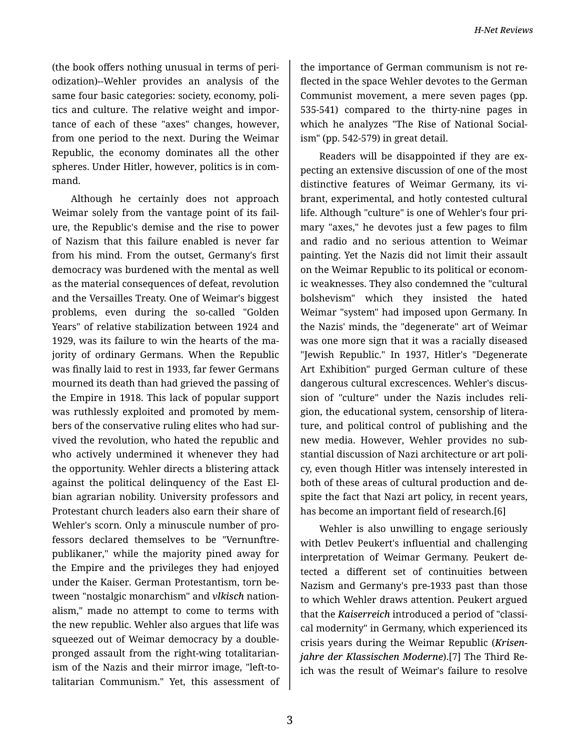(the book offers nothing unusual in terms of peri‐ odization)--Wehler provides an analysis of the same four basic categories: society, economy, politics and culture. The relative weight and impor‐ tance of each of these "axes" changes, however, from one period to the next. During the Weimar Republic, the economy dominates all the other spheres. Under Hitler, however, politics is in com‐ mand.

Although he certainly does not approach Weimar solely from the vantage point of its fail‐ ure, the Republic's demise and the rise to power of Nazism that this failure enabled is never far from his mind. From the outset, Germany's first democracy was burdened with the mental as well as the material consequences of defeat, revolution and the Versailles Treaty. One of Weimar's biggest problems, even during the so-called "Golden Years" of relative stabilization between 1924 and 1929, was its failure to win the hearts of the ma‐ jority of ordinary Germans. When the Republic was finally laid to rest in 1933, far fewer Germans mourned its death than had grieved the passing of the Empire in 1918. This lack of popular support was ruthlessly exploited and promoted by mem‐ bers of the conservative ruling elites who had sur‐ vived the revolution, who hated the republic and who actively undermined it whenever they had the opportunity. Wehler directs a blistering attack against the political delinquency of the East El‐ bian agrarian nobility. University professors and Protestant church leaders also earn their share of Wehler's scorn. Only a minuscule number of pro‐ fessors declared themselves to be "Vernunftre‐ publikaner," while the majority pined away for the Empire and the privileges they had enjoyed under the Kaiser. German Protestantism, torn be‐ tween "nostalgic monarchism" and *vlkisch* nation‐ alism," made no attempt to come to terms with the new republic. Wehler also argues that life was squeezed out of Weimar democracy by a doublepronged assault from the right-wing totalitarian‐ ism of the Nazis and their mirror image, "left-totalitarian Communism." Yet, this assessment of

the importance of German communism is not re‐ flected in the space Wehler devotes to the German Communist movement, a mere seven pages (pp. 535-541) compared to the thirty-nine pages in which he analyzes "The Rise of National Social‐ ism" (pp. 542-579) in great detail.

Readers will be disappointed if they are ex‐ pecting an extensive discussion of one of the most distinctive features of Weimar Germany, its vi‐ brant, experimental, and hotly contested cultural life. Although "culture" is one of Wehler's four pri‐ mary "axes," he devotes just a few pages to film and radio and no serious attention to Weimar painting. Yet the Nazis did not limit their assault on the Weimar Republic to its political or econom‐ ic weaknesses. They also condemned the "cultural bolshevism" which they insisted the hated Weimar "system" had imposed upon Germany. In the Nazis' minds, the "degenerate" art of Weimar was one more sign that it was a racially diseased "Jewish Republic." In 1937, Hitler's "Degenerate Art Exhibition" purged German culture of these dangerous cultural excrescences. Wehler's discus‐ sion of "culture" under the Nazis includes reli‐ gion, the educational system, censorship of litera‐ ture, and political control of publishing and the new media. However, Wehler provides no sub‐ stantial discussion of Nazi architecture or art poli‐ cy, even though Hitler was intensely interested in both of these areas of cultural production and de‐ spite the fact that Nazi art policy, in recent years, has become an important field of research.[6]

Wehler is also unwilling to engage seriously with Detlev Peukert's influential and challenging interpretation of Weimar Germany. Peukert de‐ tected a different set of continuities between Nazism and Germany's pre-1933 past than those to which Wehler draws attention. Peukert argued that the *Kaiserreich* introduced a period of "classi‐ cal modernity" in Germany, which experienced its crisis years during the Weimar Republic (*Krisen‐ jahre der Klassischen Moderne*).[7] The Third Re‐ ich was the result of Weimar's failure to resolve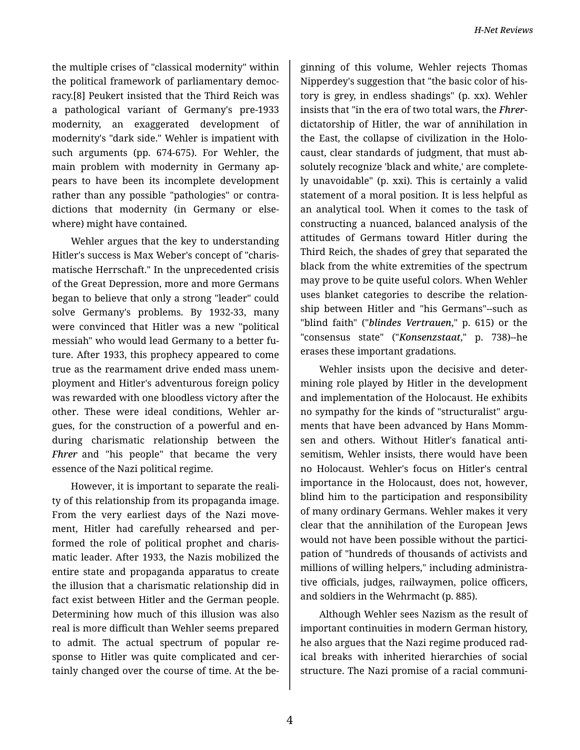the multiple crises of "classical modernity" within the political framework of parliamentary democ‐ racy.[8] Peukert insisted that the Third Reich was a pathological variant of Germany's pre-1933 modernity, an exaggerated development of modernity's "dark side." Wehler is impatient with such arguments (pp. 674-675). For Wehler, the main problem with modernity in Germany ap‐ pears to have been its incomplete development rather than any possible "pathologies" or contra‐ dictions that modernity (in Germany or else‐ where) might have contained.

Wehler argues that the key to understanding Hitler's success is Max Weber's concept of "charis‐ matische Herrschaft." In the unprecedented crisis of the Great Depression, more and more Germans began to believe that only a strong "leader" could solve Germany's problems. By 1932-33, many were convinced that Hitler was a new "political messiah" who would lead Germany to a better fu‐ ture. After 1933, this prophecy appeared to come true as the rearmament drive ended mass unem‐ ployment and Hitler's adventurous foreign policy was rewarded with one bloodless victory after the other. These were ideal conditions, Wehler ar‐ gues, for the construction of a powerful and en‐ during charismatic relationship between the *Fhrer* and "his people" that became the very essence of the Nazi political regime.

However, it is important to separate the reali‐ ty of this relationship from its propaganda image. From the very earliest days of the Nazi move‐ ment, Hitler had carefully rehearsed and per‐ formed the role of political prophet and charis‐ matic leader. After 1933, the Nazis mobilized the entire state and propaganda apparatus to create the illusion that a charismatic relationship did in fact exist between Hitler and the German people. Determining how much of this illusion was also real is more difficult than Wehler seems prepared to admit. The actual spectrum of popular re‐ sponse to Hitler was quite complicated and cer‐ tainly changed over the course of time. At the be‐

ginning of this volume, Wehler rejects Thomas Nipperdey's suggestion that "the basic color of his‐ tory is grey, in endless shadings" (p. xx). Wehler insists that "in the era of two total wars, the *Fhrer*dictatorship of Hitler, the war of annihilation in the East, the collapse of civilization in the Holo‐ caust, clear standards of judgment, that must ab‐ solutely recognize 'black and white,' are complete‐ ly unavoidable" (p. xxi). This is certainly a valid statement of a moral position. It is less helpful as an analytical tool. When it comes to the task of constructing a nuanced, balanced analysis of the attitudes of Germans toward Hitler during the Third Reich, the shades of grey that separated the black from the white extremities of the spectrum may prove to be quite useful colors. When Wehler uses blanket categories to describe the relation‐ ship between Hitler and "his Germans"--such as "blind faith" ("*blindes Vertrauen*," p. 615) or the "consensus state" ("*Konsenzstaat*," p. 738)--he erases these important gradations.

Wehler insists upon the decisive and deter‐ mining role played by Hitler in the development and implementation of the Holocaust. He exhibits no sympathy for the kinds of "structuralist" argu‐ ments that have been advanced by Hans Momm‐ sen and others. Without Hitler's fanatical anti‐ semitism, Wehler insists, there would have been no Holocaust. Wehler's focus on Hitler's central importance in the Holocaust, does not, however, blind him to the participation and responsibility of many ordinary Germans. Wehler makes it very clear that the annihilation of the European Jews would not have been possible without the partici‐ pation of "hundreds of thousands of activists and millions of willing helpers," including administra‐ tive officials, judges, railwaymen, police officers, and soldiers in the Wehrmacht (p. 885).

Although Wehler sees Nazism as the result of important continuities in modern German history, he also argues that the Nazi regime produced rad‐ ical breaks with inherited hierarchies of social structure. The Nazi promise of a racial communi‐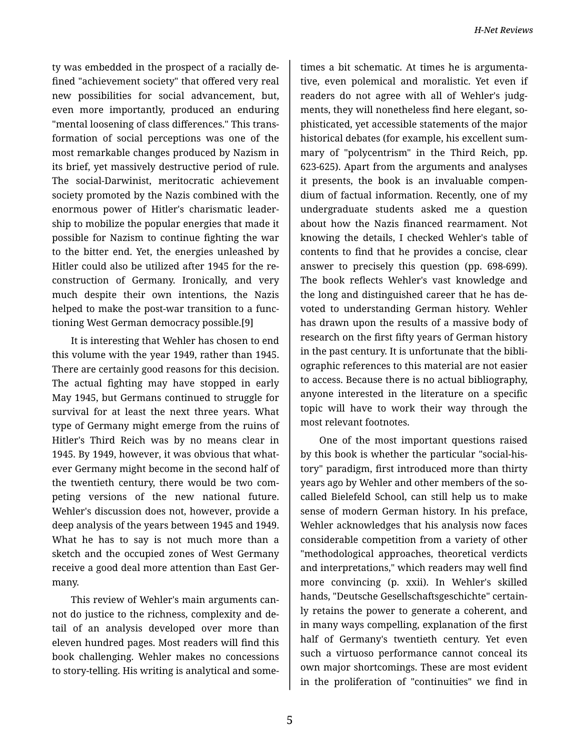ty was embedded in the prospect of a racially de‐ fined "achievement society" that offered very real new possibilities for social advancement, but, even more importantly, produced an enduring "mental loosening of class differences." This trans‐ formation of social perceptions was one of the most remarkable changes produced by Nazism in its brief, yet massively destructive period of rule. The social-Darwinist, meritocratic achievement society promoted by the Nazis combined with the enormous power of Hitler's charismatic leader‐ ship to mobilize the popular energies that made it possible for Nazism to continue fighting the war to the bitter end. Yet, the energies unleashed by Hitler could also be utilized after 1945 for the re‐ construction of Germany. Ironically, and very much despite their own intentions, the Nazis helped to make the post-war transition to a func‐ tioning West German democracy possible.[9]

It is interesting that Wehler has chosen to end this volume with the year 1949, rather than 1945. There are certainly good reasons for this decision. The actual fighting may have stopped in early May 1945, but Germans continued to struggle for survival for at least the next three years. What type of Germany might emerge from the ruins of Hitler's Third Reich was by no means clear in 1945. By 1949, however, it was obvious that what‐ ever Germany might become in the second half of the twentieth century, there would be two com‐ peting versions of the new national future. Wehler's discussion does not, however, provide a deep analysis of the years between 1945 and 1949. What he has to say is not much more than a sketch and the occupied zones of West Germany receive a good deal more attention than East Ger‐ many.

This review of Wehler's main arguments can‐ not do justice to the richness, complexity and de‐ tail of an analysis developed over more than eleven hundred pages. Most readers will find this book challenging. Wehler makes no concessions to story-telling. His writing is analytical and some‐

times a bit schematic. At times he is argumenta‐ tive, even polemical and moralistic. Yet even if readers do not agree with all of Wehler's judg‐ ments, they will nonetheless find here elegant, sophisticated, yet accessible statements of the major historical debates (for example, his excellent sum‐ mary of "polycentrism" in the Third Reich, pp. 623-625). Apart from the arguments and analyses it presents, the book is an invaluable compen‐ dium of factual information. Recently, one of my undergraduate students asked me a question about how the Nazis financed rearmament. Not knowing the details, I checked Wehler's table of contents to find that he provides a concise, clear answer to precisely this question (pp. 698-699). The book reflects Wehler's vast knowledge and the long and distinguished career that he has de‐ voted to understanding German history. Wehler has drawn upon the results of a massive body of research on the first fifty years of German history in the past century. It is unfortunate that the bibli‐ ographic references to this material are not easier to access. Because there is no actual bibliography, anyone interested in the literature on a specific topic will have to work their way through the most relevant footnotes.

One of the most important questions raised by this book is whether the particular "social-his‐ tory" paradigm, first introduced more than thirty years ago by Wehler and other members of the socalled Bielefeld School, can still help us to make sense of modern German history. In his preface, Wehler acknowledges that his analysis now faces considerable competition from a variety of other "methodological approaches, theoretical verdicts and interpretations," which readers may well find more convincing (p. xxii). In Wehler's skilled hands, "Deutsche Gesellschaftsgeschichte" certain‐ ly retains the power to generate a coherent, and in many ways compelling, explanation of the first half of Germany's twentieth century. Yet even such a virtuoso performance cannot conceal its own major shortcomings. These are most evident in the proliferation of "continuities" we find in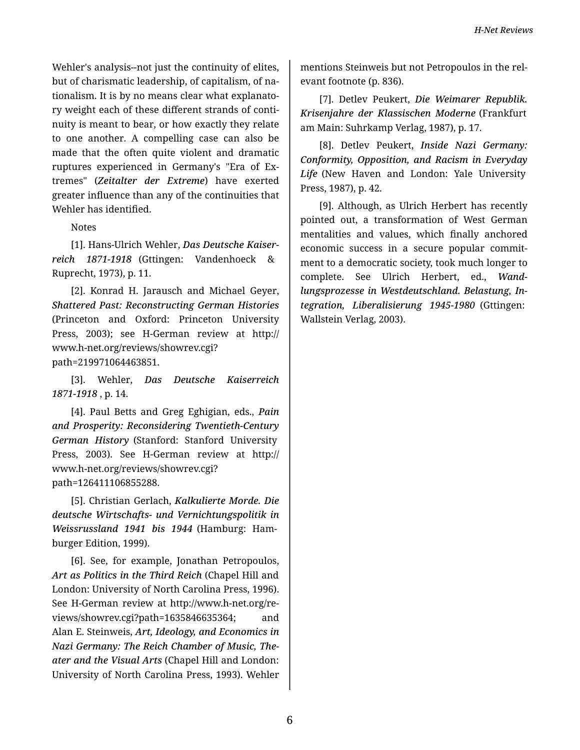Wehler's analysis--not just the continuity of elites, but of charismatic leadership, of capitalism, of na‐ tionalism. It is by no means clear what explanato‐ ry weight each of these different strands of conti‐ nuity is meant to bear, or how exactly they relate to one another. A compelling case can also be made that the often quite violent and dramatic ruptures experienced in Germany's "Era of Ex‐ tremes" (*Zeitalter der Extreme*) have exerted greater influence than any of the continuities that Wehler has identified.

Notes

[1]. Hans-Ulrich Wehler, *Das Deutsche Kaiser‐ reich 1871-1918* (Gttingen: Vandenhoeck & Ruprecht, 1973), p. 11.

[2]. Konrad H. Jarausch and Michael Geyer, *Shattered Past: Reconstructing German Histories* (Princeton and Oxford: Princeton University Press, 2003); see H-German review at http:// www.h-net.org/reviews/showrev.cgi? path=219971064463851.

[3]. Wehler, *Das Deutsche Kaiserreich 1871-1918* , p. 14.

[4]. Paul Betts and Greg Eghigian, eds., *Pain and Prosperity: Reconsidering Twentieth-Century German History* (Stanford: Stanford University Press, 2003). See H-German review at http:// www.h-net.org/reviews/showrev.cgi? path=126411106855288.

[5]. Christian Gerlach, *Kalkulierte Morde. Die deutsche Wirtschafts- und Vernichtungspolitik in Weissrussland 1941 bis 1944* (Hamburg: Ham‐ burger Edition, 1999).

[6]. See, for example, Jonathan Petropoulos, *Art as Politics in the Third Reich* (Chapel Hill and London: University of North Carolina Press, 1996). See H-German review at http://www.h-net.org/re‐ views/showrev.cgi?path=1635846635364; and Alan E. Steinweis, *Art, Ideology, and Economics in Nazi Germany: The Reich Chamber of Music, The‐ ater and the Visual Arts* (Chapel Hill and London: University of North Carolina Press, 1993). Wehler

mentions Steinweis but not Petropoulos in the rel‐ evant footnote (p. 836).

[7]. Detlev Peukert, *Die Weimarer Republik. Krisenjahre der Klassischen Moderne* (Frankfurt am Main: Suhrkamp Verlag, 1987), p. 17.

[8]. Detlev Peukert, *Inside Nazi Germany: Conformity, Opposition, and Racism in Everyday Life* (New Haven and London: Yale University Press, 1987), p. 42.

[9]. Although, as Ulrich Herbert has recently pointed out, a transformation of West German mentalities and values, which finally anchored economic success in a secure popular commit‐ ment to a democratic society, took much longer to complete. See Ulrich Herbert, ed., *Wand‐ lungsprozesse in Westdeutschland. Belastung, In‐ tegration, Liberalisierung 1945-1980* (Gttingen: Wallstein Verlag, 2003).